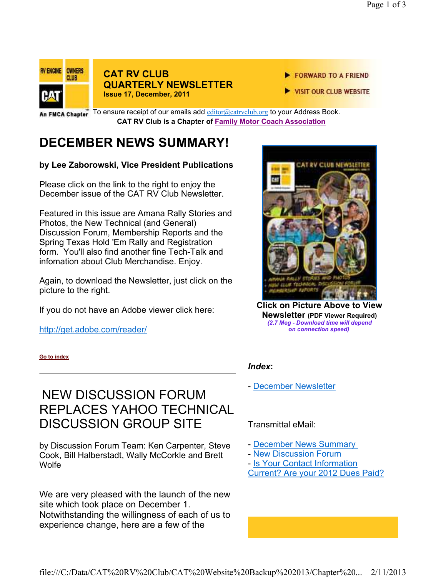

### **CAT RV CLUB QUARTERLY NEWSLETTER Issue 17, December, 2011**

- FORWARD TO A FRIEND
- VISIT OUR CLUB WEBSITE

In FMCA Chapter<sup>"</sup> To ensure receipt of our emails add **editor@catrvclub.org** to your Address Book. **CAT RV Club is a Chapter of Family Motor Coach Association** 

# **DECEMBER NEWS SUMMARY!**

#### **by Lee Zaborowski, Vice President Publications**

Please click on the link to the right to enjoy the December issue of the CAT RV Club Newsletter.

Featured in this issue are Amana Rally Stories and Photos, the New Technical (and General) Discussion Forum, Membership Reports and the Spring Texas Hold 'Em Rally and Registration form. You'll also find another fine Tech-Talk and infomation about Club Merchandise. Enjoy.

Again, to download the Newsletter, just click on the picture to the right.

If you do not have an Adobe viewer click here:

http://get.adobe.com/reader/

**Go to index**

## NEW DISCUSSION FORUM REPLACES YAHOO TECHNICAL DISCUSSION GROUP SITE

by Discussion Forum Team: Ken Carpenter, Steve Cook, Bill Halberstadt, Wally McCorkle and Brett **Wolfe** 

We are very pleased with the launch of the new site which took place on December 1. Notwithstanding the willingness of each of us to experience change, here are a few of the



**Click on Picture Above to View Newsletter (PDF Viewer Required)**  *(2.7 Meg - Download time will depend on connection speed)*

#### *Index***:**

- December Newsletter

Transmittal eMail:

- December News Summary
- New Discussion Forum
- Is Your Contact Information Current? Are your 2012 Dues Paid?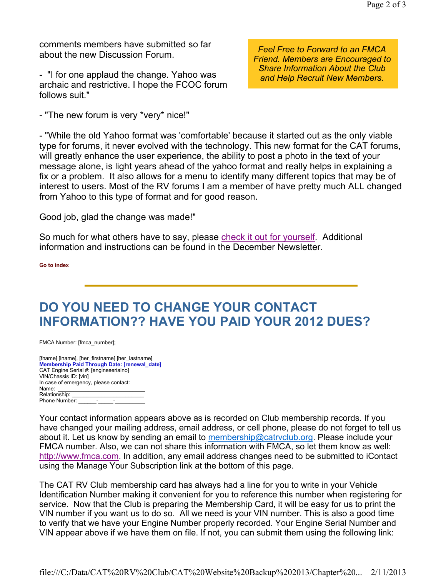comments members have submitted so far about the new Discussion Forum.

- "I for one applaud the change. Yahoo was archaic and restrictive. I hope the FCOC forum follows suit."

- "The new forum is very \*very\* nice!"

*Feel Free to Forward to an FMCA Friend. Members are Encouraged to Share Information About the Club and Help Recruit New Members.*

- "While the old Yahoo format was 'comfortable' because it started out as the only viable type for forums, it never evolved with the technology. This new format for the CAT forums, will greatly enhance the user experience, the ability to post a photo in the text of your message alone, is light years ahead of the yahoo format and really helps in explaining a fix or a problem. It also allows for a menu to identify many different topics that may be of interest to users. Most of the RV forums I am a member of have pretty much ALL changed from Yahoo to this type of format and for good reason.

Good job, glad the change was made!"

So much for what others have to say, please check it out for yourself. Additional information and instructions can be found in the December Newsletter.

**Go to index**

## **DO YOU NEED TO CHANGE YOUR CONTACT INFORMATION?? HAVE YOU PAID YOUR 2012 DUES?**

FMCA Number: [fmca\_number];

| [fname] [Iname], [her firstname] [her lastname] |  |
|-------------------------------------------------|--|
| Membership Paid Through Date: [renewal date]    |  |
| CAT Engine Serial #: [engineserialno]           |  |
| VIN/Chassis ID: [vin]                           |  |
| In case of emergency, please contact:           |  |
| Name:                                           |  |
| Relationship:                                   |  |
| Phone Number:                                   |  |

Your contact information appears above as is recorded on Club membership records. If you have changed your mailing address, email address, or cell phone, please do not forget to tell us about it. Let us know by sending an email to membership@catryclub.org. Please include your FMCA number. Also, we can not share this information with FMCA, so let them know as well: http://www.fmca.com. In addition, any email address changes need to be submitted to iContact using the Manage Your Subscription link at the bottom of this page.

The CAT RV Club membership card has always had a line for you to write in your Vehicle Identification Number making it convenient for you to reference this number when registering for service. Now that the Club is preparing the Membership Card, it will be easy for us to print the VIN number if you want us to do so. All we need is your VIN number. This is also a good time to verify that we have your Engine Number properly recorded. Your Engine Serial Number and VIN appear above if we have them on file. If not, you can submit them using the following link: